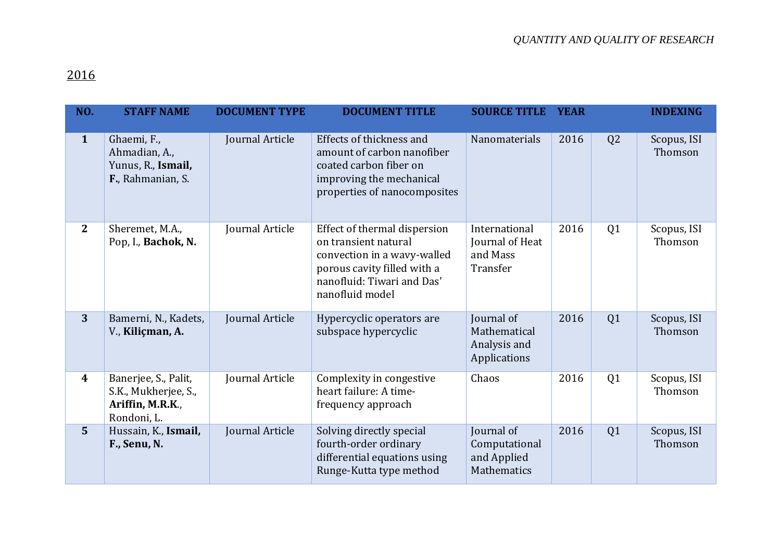## 2016

| NO.              | <b>STAFF NAME</b>                                                               | <b>DOCUMENT TYPE</b> | <b>DOCUMENT TITLE</b>                                                                                                                                               | <b>SOURCE TITLE</b>                                        | <b>YEAR</b> |                | <b>INDEXING</b>        |
|------------------|---------------------------------------------------------------------------------|----------------------|---------------------------------------------------------------------------------------------------------------------------------------------------------------------|------------------------------------------------------------|-------------|----------------|------------------------|
| $\mathbf{1}$     | Ghaemi, F.,<br>Ahmadian, A.,<br>Yunus, R., Ismail,<br>F., Rahmanian, S.         | Journal Article      | Effects of thickness and<br>amount of carbon nanofiber<br>coated carbon fiber on<br>improving the mechanical<br>properties of nanocomposites                        | Nanomaterials                                              | 2016        | Q <sub>2</sub> | Scopus, ISI<br>Thomson |
| $\overline{2}$   | Sheremet, M.A.,<br>Pop, I., Bachok, N.                                          | Journal Article      | Effect of thermal dispersion<br>on transient natural<br>convection in a wavy-walled<br>porous cavity filled with a<br>nanofluid: Tiwari and Das'<br>nanofluid model | International<br>Journal of Heat<br>and Mass<br>Transfer   | 2016        | Q1             | Scopus, ISI<br>Thomson |
| 3                | Bamerni, N., Kadets,<br>V., Kiliçman, A.                                        | Journal Article      | Hypercyclic operators are<br>subspace hypercyclic                                                                                                                   | Journal of<br>Mathematical<br>Analysis and<br>Applications | 2016        | Q1             | Scopus, ISI<br>Thomson |
| $\boldsymbol{4}$ | Banerjee, S., Palit,<br>S.K., Mukherjee, S.,<br>Ariffin, M.R.K.,<br>Rondoni, L. | Journal Article      | Complexity in congestive<br>heart failure: A time-<br>frequency approach                                                                                            | Chaos                                                      | 2016        | Q1             | Scopus, ISI<br>Thomson |
| $\overline{5}$   | Hussain, K., Ismail,<br>F., Senu, N.                                            | Journal Article      | Solving directly special<br>fourth-order ordinary<br>differential equations using<br>Runge-Kutta type method                                                        | Journal of<br>Computational<br>and Applied<br>Mathematics  | 2016        | Q1             | Scopus, ISI<br>Thomson |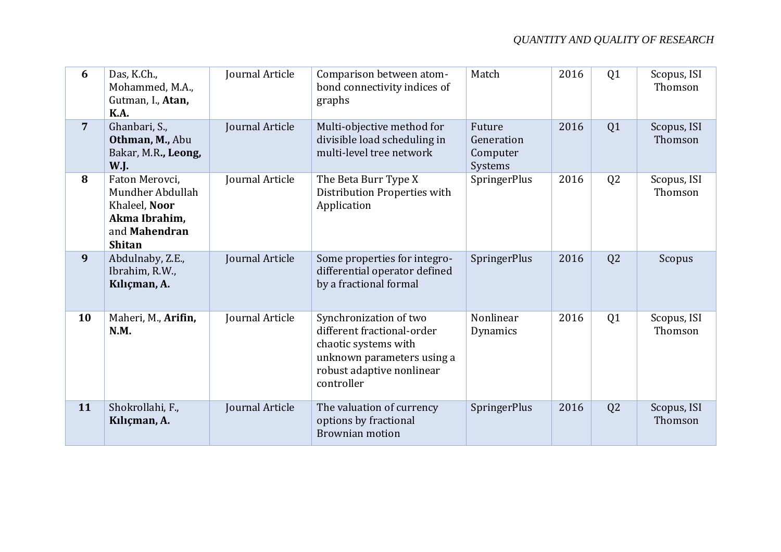| 6              | Das, K.Ch.,<br>Mohammed, M.A.,<br>Gutman, I., Atan,<br><b>K.A.</b>                                     | Journal Article | Comparison between atom-<br>bond connectivity indices of<br>graphs                                                                                    | Match                                       | 2016 | Q <sub>1</sub> | Scopus, ISI<br>Thomson |
|----------------|--------------------------------------------------------------------------------------------------------|-----------------|-------------------------------------------------------------------------------------------------------------------------------------------------------|---------------------------------------------|------|----------------|------------------------|
| $\overline{7}$ | Ghanbari, S.,<br>Othman, M., Abu<br>Bakar, M.R., Leong,<br><b>W.J.</b>                                 | Journal Article | Multi-objective method for<br>divisible load scheduling in<br>multi-level tree network                                                                | Future<br>Generation<br>Computer<br>Systems | 2016 | Q1             | Scopus, ISI<br>Thomson |
| 8              | Faton Merovci,<br>Mundher Abdullah<br>Khaleel, Noor<br>Akma Ibrahim,<br>and Mahendran<br><b>Shitan</b> | Journal Article | The Beta Burr Type X<br>Distribution Properties with<br>Application                                                                                   | SpringerPlus                                | 2016 | Q <sub>2</sub> | Scopus, ISI<br>Thomson |
| 9              | Abdulnaby, Z.E.,<br>Ibrahim, R.W.,<br>Kılıçman, A.                                                     | Journal Article | Some properties for integro-<br>differential operator defined<br>by a fractional formal                                                               | SpringerPlus                                | 2016 | Q2             | Scopus                 |
| 10             | Maheri, M., Arifin,<br>N.M.                                                                            | Journal Article | Synchronization of two<br>different fractional-order<br>chaotic systems with<br>unknown parameters using a<br>robust adaptive nonlinear<br>controller | Nonlinear<br>Dynamics                       | 2016 | Q <sub>1</sub> | Scopus, ISI<br>Thomson |
| 11             | Shokrollahi, F.,<br>Kılıçman, A.                                                                       | Journal Article | The valuation of currency<br>options by fractional<br><b>Brownian motion</b>                                                                          | SpringerPlus                                | 2016 | Q2             | Scopus, ISI<br>Thomson |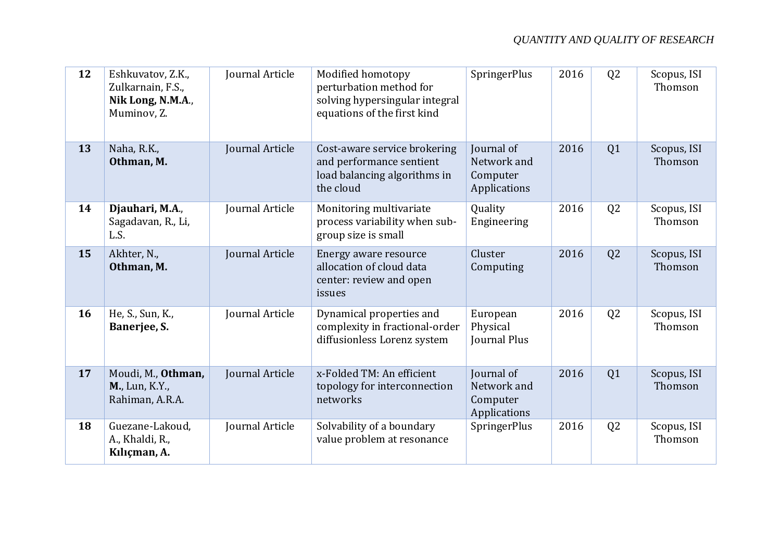| 12 | Eshkuvatov, Z.K.,<br>Zulkarnain, F.S.,<br>Nik Long, N.M.A.,<br>Muminov, Z. | Journal Article        | Modified homotopy<br>perturbation method for<br>solving hypersingular integral<br>equations of the first kind | SpringerPlus                                          | 2016 | Q2             | Scopus, ISI<br>Thomson |
|----|----------------------------------------------------------------------------|------------------------|---------------------------------------------------------------------------------------------------------------|-------------------------------------------------------|------|----------------|------------------------|
| 13 | Naha, R.K.,<br>Othman, M.                                                  | Journal Article        | Cost-aware service brokering<br>and performance sentient<br>load balancing algorithms in<br>the cloud         | Journal of<br>Network and<br>Computer<br>Applications | 2016 | Q1             | Scopus, ISI<br>Thomson |
| 14 | Djauhari, M.A.,<br>Sagadavan, R., Li,<br>L.S.                              | Journal Article        | Monitoring multivariate<br>process variability when sub-<br>group size is small                               | Quality<br>Engineering                                | 2016 | Q2             | Scopus, ISI<br>Thomson |
| 15 | Akhter, N.,<br>Othman, M.                                                  | Journal Article        | Energy aware resource<br>allocation of cloud data<br>center: review and open<br>issues                        | Cluster<br>Computing                                  | 2016 | Q2             | Scopus, ISI<br>Thomson |
| 16 | He, S., Sun, K.,<br>Banerjee, S.                                           | Journal Article        | Dynamical properties and<br>complexity in fractional-order<br>diffusionless Lorenz system                     | European<br>Physical<br>Journal Plus                  | 2016 | Q2             | Scopus, ISI<br>Thomson |
| 17 | Moudi, M., Othman,<br>M., Lun, K.Y.,<br>Rahiman, A.R.A.                    | <b>Journal Article</b> | x-Folded TM: An efficient<br>topology for interconnection<br>networks                                         | Journal of<br>Network and<br>Computer<br>Applications | 2016 | Q1             | Scopus, ISI<br>Thomson |
| 18 | Guezane-Lakoud,<br>A., Khaldi, R.,<br>Kılıçman, A.                         | Journal Article        | Solvability of a boundary<br>value problem at resonance                                                       | SpringerPlus                                          | 2016 | Q <sub>2</sub> | Scopus, ISI<br>Thomson |